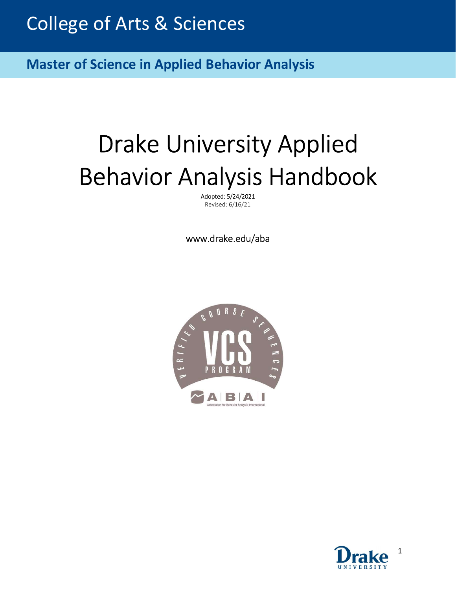$\overline{\phantom{0}}$ **Master of Science in Applied Behavior Analysis** 

# Drake University Applied Behavior Analysis Handbook

Adopted: 5/24/2021 Revised: 6/16/21

www.drake.edu/aba



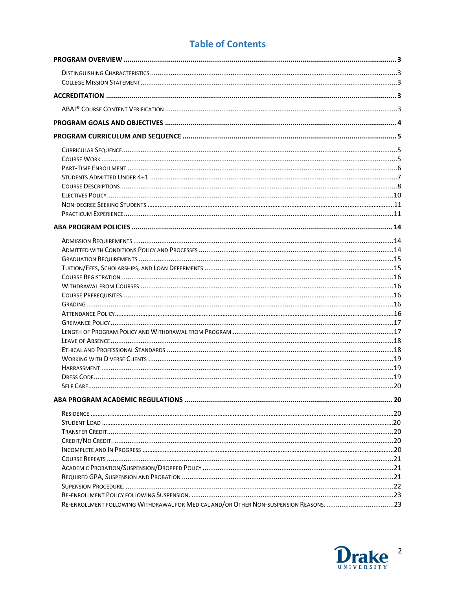# **Table of Contents**

| RE-ENROLLMENT FOLLOWING WITHDRAWAL FOR MEDICAL AND/OR OTHER NON-SUSPENSION REASONS. 23 |  |
|----------------------------------------------------------------------------------------|--|

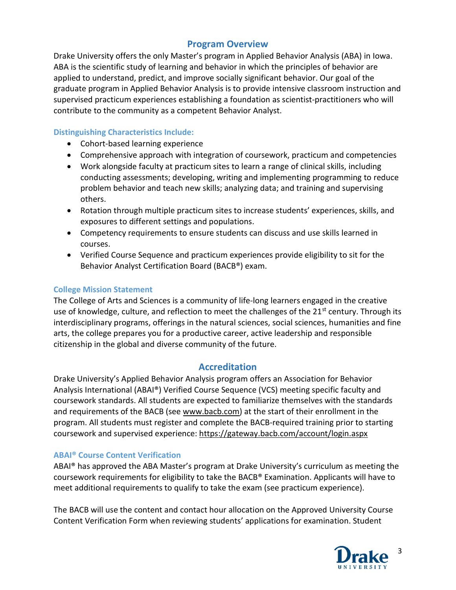# Program Overview

Drake University offers the only Master's program in Applied Behavior Analysis (ABA) in Iowa. ABA is the scientific study of learning and behavior in which the principles of behavior are applied to understand, predict, and improve socially significant behavior. Our goal of the graduate program in Applied Behavior Analysis is to provide intensive classroom instruction and supervised practicum experiences establishing a foundation as scientist-practitioners who will contribute to the community as a competent Behavior Analyst.

## Distinguishing Characteristics Include:

- Cohort-based learning experience
- Comprehensive approach with integration of coursework, practicum and competencies
- Work alongside faculty at practicum sites to learn a range of clinical skills, including conducting assessments; developing, writing and implementing programming to reduce problem behavior and teach new skills; analyzing data; and training and supervising others.
- Rotation through multiple practicum sites to increase students' experiences, skills, and exposures to different settings and populations.
- Competency requirements to ensure students can discuss and use skills learned in courses.
- Verified Course Sequence and practicum experiences provide eligibility to sit for the Behavior Analyst Certification Board (BACB®) exam.

## College Mission Statement

The College of Arts and Sciences is a community of life-long learners engaged in the creative use of knowledge, culture, and reflection to meet the challenges of the 21<sup>st</sup> century. Through its interdisciplinary programs, offerings in the natural sciences, social sciences, humanities and fine arts, the college prepares you for a productive career, active leadership and responsible citizenship in the global and diverse community of the future.

# Accreditation

Drake University's Applied Behavior Analysis program offers an Association for Behavior Analysis International (ABAI®) Verified Course Sequence (VCS) meeting specific faculty and coursework standards. All students are expected to familiarize themselves with the standards and requirements of the BACB (see www.bacb.com) at the start of their enrollment in the program. All students must register and complete the BACB-required training prior to starting coursework and supervised experience: https://gateway.bacb.com/account/login.aspx

## ABAI® Course Content Verification

ABAI® has approved the ABA Master's program at Drake University's curriculum as meeting the coursework requirements for eligibility to take the BACB® Examination. Applicants will have to meet additional requirements to qualify to take the exam (see practicum experience).

The BACB will use the content and contact hour allocation on the Approved University Course Content Verification Form when reviewing students' applications for examination. Student

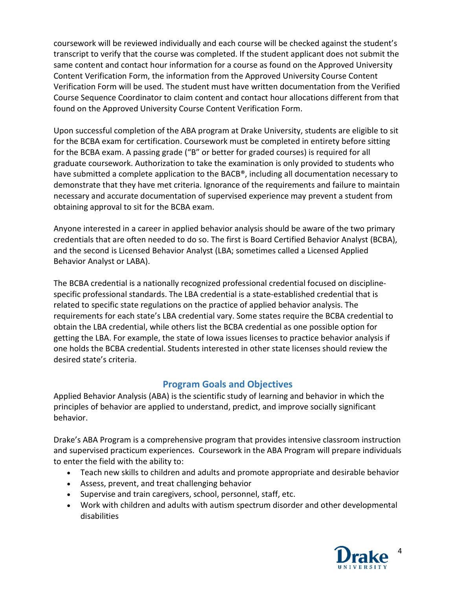coursework will be reviewed individually and each course will be checked against the student's transcript to verify that the course was completed. If the student applicant does not submit the same content and contact hour information for a course as found on the Approved University Content Verification Form, the information from the Approved University Course Content Verification Form will be used. The student must have written documentation from the Verified Course Sequence Coordinator to claim content and contact hour allocations different from that found on the Approved University Course Content Verification Form.

Upon successful completion of the ABA program at Drake University, students are eligible to sit for the BCBA exam for certification. Coursework must be completed in entirety before sitting for the BCBA exam. A passing grade ("B" or better for graded courses) is required for all graduate coursework. Authorization to take the examination is only provided to students who have submitted a complete application to the BACB®, including all documentation necessary to demonstrate that they have met criteria. Ignorance of the requirements and failure to maintain necessary and accurate documentation of supervised experience may prevent a student from obtaining approval to sit for the BCBA exam.

Anyone interested in a career in applied behavior analysis should be aware of the two primary credentials that are often needed to do so. The first is Board Certified Behavior Analyst (BCBA), and the second is Licensed Behavior Analyst (LBA; sometimes called a Licensed Applied Behavior Analyst or LABA).

The BCBA credential is a nationally recognized professional credential focused on disciplinespecific professional standards. The LBA credential is a state-established credential that is related to specific state regulations on the practice of applied behavior analysis. The requirements for each state's LBA credential vary. Some states require the BCBA credential to obtain the LBA credential, while others list the BCBA credential as one possible option for getting the LBA. For example, the state of Iowa issues licenses to practice behavior analysis if one holds the BCBA credential. Students interested in other state licenses should review the desired state's criteria.

# Program Goals and Objectives

Applied Behavior Analysis (ABA) is the scientific study of learning and behavior in which the principles of behavior are applied to understand, predict, and improve socially significant behavior.

Drake's ABA Program is a comprehensive program that provides intensive classroom instruction and supervised practicum experiences. Coursework in the ABA Program will prepare individuals to enter the field with the ability to:

- Teach new skills to children and adults and promote appropriate and desirable behavior
- Assess, prevent, and treat challenging behavior
- Supervise and train caregivers, school, personnel, staff, etc.
- Work with children and adults with autism spectrum disorder and other developmental disabilities

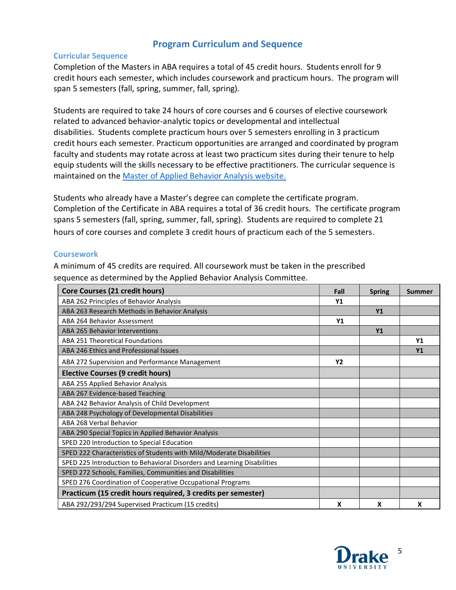# Program Curriculum and Sequence

## Curricular Sequence

Completion of the Masters in ABA requires a total of 45 credit hours. Students enroll for 9 credit hours each semester, which includes coursework and practicum hours. The program will span 5 semesters (fall, spring, summer, fall, spring).

Students are required to take 24 hours of core courses and 6 courses of elective coursework related to advanced behavior-analytic topics or developmental and intellectual disabilities. Students complete practicum hours over 5 semesters enrolling in 3 practicum credit hours each semester. Practicum opportunities are arranged and coordinated by program faculty and students may rotate across at least two practicum sites during their tenure to help equip students will the skills necessary to be effective practitioners. The curricular sequence is maintained on the Master of Applied Behavior Analysis website.

Students who already have a Master's degree can complete the certificate program. Completion of the Certificate in ABA requires a total of 36 credit hours. The certificate program spans 5 semesters (fall, spring, summer, fall, spring). Students are required to complete 21 hours of core courses and complete 3 credit hours of practicum each of the 5 semesters.

## **Coursework**

A minimum of 45 credits are required. All coursework must be taken in the prescribed sequence as determined by the Applied Behavior Analysis Committee.

| Core Courses (21 credit hours)                                          | Fall           | <b>Spring</b> | Summer         |
|-------------------------------------------------------------------------|----------------|---------------|----------------|
| ABA 262 Principles of Behavior Analysis                                 | Y <sub>1</sub> |               |                |
| ABA 263 Research Methods in Behavior Analysis                           |                | <b>Y1</b>     |                |
| ABA 264 Behavior Assessment                                             | <b>Y1</b>      |               |                |
| <b>ABA 265 Behavior Interventions</b>                                   |                | Y1            |                |
| ABA 251 Theoretical Foundations                                         |                |               | Y1             |
| ABA 246 Ethics and Professional Issues                                  |                |               | Y <sub>1</sub> |
| ABA 272 Supervision and Performance Management                          | Y <sub>2</sub> |               |                |
| <b>Elective Courses (9 credit hours)</b>                                |                |               |                |
| ABA 255 Applied Behavior Analysis                                       |                |               |                |
| ABA 267 Evidence-based Teaching                                         |                |               |                |
| ABA 242 Behavior Analysis of Child Development                          |                |               |                |
| ABA 248 Psychology of Developmental Disabilities                        |                |               |                |
| ABA 268 Verbal Behavior                                                 |                |               |                |
| ABA 290 Special Topics in Applied Behavior Analysis                     |                |               |                |
| SPED 220 Introduction to Special Education                              |                |               |                |
| SPED 222 Characteristics of Students with Mild/Moderate Disabilities    |                |               |                |
| SPED 225 Introduction to Behavioral Disorders and Learning Disabilities |                |               |                |
| SPED 272 Schools, Families, Communities and Disabilities                |                |               |                |
| SPED 276 Coordination of Cooperative Occupational Programs              |                |               |                |
| Practicum (15 credit hours required, 3 credits per semester)            |                |               |                |
| ABA 292/293/294 Supervised Practicum (15 credits)                       | X              | X             | X              |

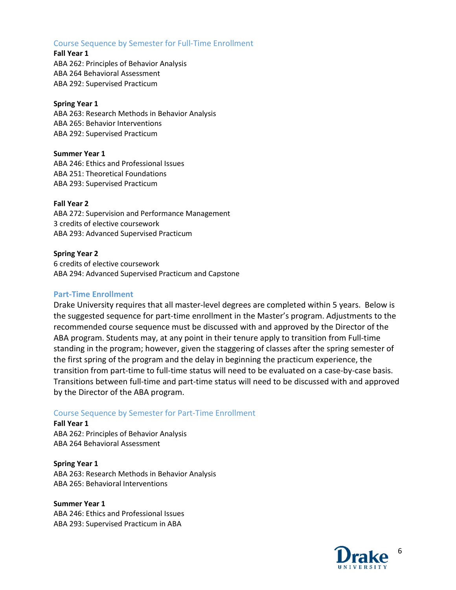## Course Sequence by Semester for Full-Time Enrollment

Fall Year 1 ABA 262: Principles of Behavior Analysis ABA 264 Behavioral Assessment ABA 292: Supervised Practicum

#### Spring Year 1

ABA 263: Research Methods in Behavior Analysis ABA 265: Behavior Interventions ABA 292: Supervised Practicum

#### Summer Year 1

ABA 246: Ethics and Professional Issues ABA 251: Theoretical Foundations ABA 293: Supervised Practicum

#### Fall Year 2

ABA 272: Supervision and Performance Management 3 credits of elective coursework ABA 293: Advanced Supervised Practicum

#### Spring Year 2

6 credits of elective coursework ABA 294: Advanced Supervised Practicum and Capstone

## Part-Time Enrollment

Drake University requires that all master-level degrees are completed within 5 years. Below is the suggested sequence for part-time enrollment in the Master's program. Adjustments to the recommended course sequence must be discussed with and approved by the Director of the ABA program. Students may, at any point in their tenure apply to transition from Full-time standing in the program; however, given the staggering of classes after the spring semester of the first spring of the program and the delay in beginning the practicum experience, the transition from part-time to full-time status will need to be evaluated on a case-by-case basis. Transitions between full-time and part-time status will need to be discussed with and approved by the Director of the ABA program.

#### Course Sequence by Semester for Part-Time Enrollment

Fall Year 1 ABA 262: Principles of Behavior Analysis ABA 264 Behavioral Assessment

Spring Year 1 ABA 263: Research Methods in Behavior Analysis ABA 265: Behavioral Interventions

Summer Year 1 ABA 246: Ethics and Professional Issues ABA 293: Supervised Practicum in ABA

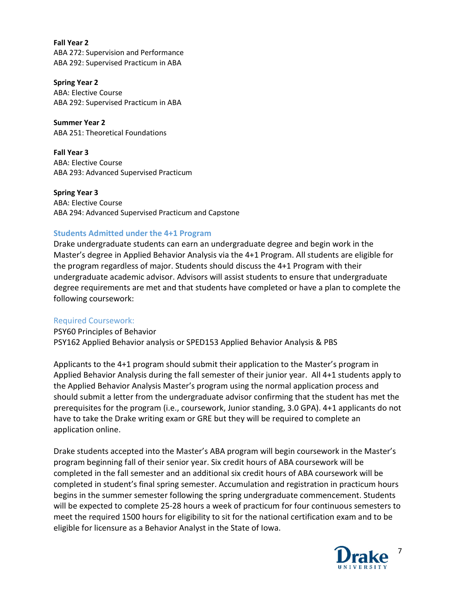Fall Year 2 ABA 272: Supervision and Performance ABA 292: Supervised Practicum in ABA

Spring Year 2 ABA: Elective Course ABA 292: Supervised Practicum in ABA

Summer Year 2 ABA 251: Theoretical Foundations

Fall Year 3 ABA: Elective Course ABA 293: Advanced Supervised Practicum

Spring Year 3 ABA: Elective Course ABA 294: Advanced Supervised Practicum and Capstone

## Students Admitted under the 4+1 Program

Drake undergraduate students can earn an undergraduate degree and begin work in the Master's degree in Applied Behavior Analysis via the 4+1 Program. All students are eligible for the program regardless of major. Students should discuss the 4+1 Program with their undergraduate academic advisor. Advisors will assist students to ensure that undergraduate degree requirements are met and that students have completed or have a plan to complete the following coursework:

#### Required Coursework:

PSY60 Principles of Behavior PSY162 Applied Behavior analysis or SPED153 Applied Behavior Analysis & PBS

Applicants to the 4+1 program should submit their application to the Master's program in Applied Behavior Analysis during the fall semester of their junior year. All 4+1 students apply to the Applied Behavior Analysis Master's program using the normal application process and should submit a letter from the undergraduate advisor confirming that the student has met the prerequisites for the program (i.e., coursework, Junior standing, 3.0 GPA). 4+1 applicants do not have to take the Drake writing exam or GRE but they will be required to complete an application online.

Drake students accepted into the Master's ABA program will begin coursework in the Master's program beginning fall of their senior year. Six credit hours of ABA coursework will be completed in the fall semester and an additional six credit hours of ABA coursework will be completed in student's final spring semester. Accumulation and registration in practicum hours begins in the summer semester following the spring undergraduate commencement. Students will be expected to complete 25-28 hours a week of practicum for four continuous semesters to meet the required 1500 hours for eligibility to sit for the national certification exam and to be eligible for licensure as a Behavior Analyst in the State of Iowa.

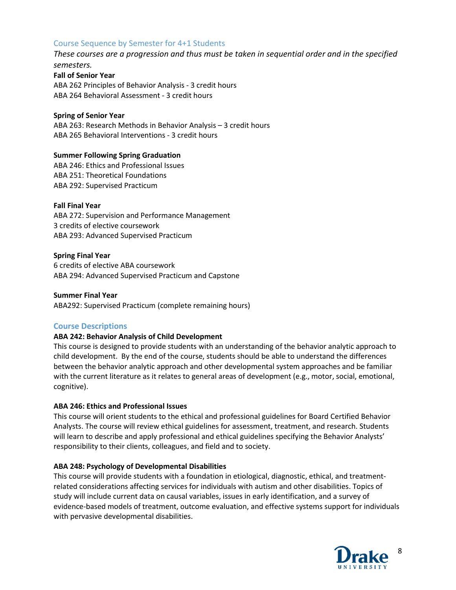## Course Sequence by Semester for 4+1 Students

These courses are a progression and thus must be taken in sequential order and in the specified semesters.

Fall of Senior Year ABA 262 Principles of Behavior Analysis - 3 credit hours ABA 264 Behavioral Assessment - 3 credit hours

#### Spring of Senior Year

ABA 263: Research Methods in Behavior Analysis – 3 credit hours ABA 265 Behavioral Interventions - 3 credit hours

#### Summer Following Spring Graduation

ABA 246: Ethics and Professional Issues ABA 251: Theoretical Foundations ABA 292: Supervised Practicum

#### Fall Final Year

ABA 272: Supervision and Performance Management 3 credits of elective coursework ABA 293: Advanced Supervised Practicum

#### Spring Final Year

6 credits of elective ABA coursework ABA 294: Advanced Supervised Practicum and Capstone

#### Summer Final Year

ABA292: Supervised Practicum (complete remaining hours)

#### Course Descriptions

#### ABA 242: Behavior Analysis of Child Development

This course is designed to provide students with an understanding of the behavior analytic approach to child development. By the end of the course, students should be able to understand the differences between the behavior analytic approach and other developmental system approaches and be familiar with the current literature as it relates to general areas of development (e.g., motor, social, emotional, cognitive).

#### ABA 246: Ethics and Professional Issues

This course will orient students to the ethical and professional guidelines for Board Certified Behavior Analysts. The course will review ethical guidelines for assessment, treatment, and research. Students will learn to describe and apply professional and ethical guidelines specifying the Behavior Analysts' responsibility to their clients, colleagues, and field and to society.

#### ABA 248: Psychology of Developmental Disabilities

This course will provide students with a foundation in etiological, diagnostic, ethical, and treatmentrelated considerations affecting services for individuals with autism and other disabilities. Topics of study will include current data on causal variables, issues in early identification, and a survey of evidence-based models of treatment, outcome evaluation, and effective systems support for individuals with pervasive developmental disabilities.

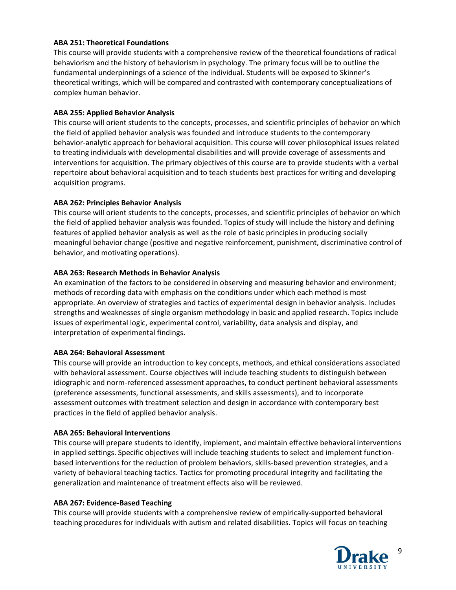#### ABA 251: Theoretical Foundations

This course will provide students with a comprehensive review of the theoretical foundations of radical behaviorism and the history of behaviorism in psychology. The primary focus will be to outline the fundamental underpinnings of a science of the individual. Students will be exposed to Skinner's theoretical writings, which will be compared and contrasted with contemporary conceptualizations of complex human behavior.

#### ABA 255: Applied Behavior Analysis

This course will orient students to the concepts, processes, and scientific principles of behavior on which the field of applied behavior analysis was founded and introduce students to the contemporary behavior-analytic approach for behavioral acquisition. This course will cover philosophical issues related to treating individuals with developmental disabilities and will provide coverage of assessments and interventions for acquisition. The primary objectives of this course are to provide students with a verbal repertoire about behavioral acquisition and to teach students best practices for writing and developing acquisition programs.

#### ABA 262: Principles Behavior Analysis

This course will orient students to the concepts, processes, and scientific principles of behavior on which the field of applied behavior analysis was founded. Topics of study will include the history and defining features of applied behavior analysis as well as the role of basic principles in producing socially meaningful behavior change (positive and negative reinforcement, punishment, discriminative control of behavior, and motivating operations).

#### ABA 263: Research Methods in Behavior Analysis

An examination of the factors to be considered in observing and measuring behavior and environment; methods of recording data with emphasis on the conditions under which each method is most appropriate. An overview of strategies and tactics of experimental design in behavior analysis. Includes strengths and weaknesses of single organism methodology in basic and applied research. Topics include issues of experimental logic, experimental control, variability, data analysis and display, and interpretation of experimental findings.

#### ABA 264: Behavioral Assessment

This course will provide an introduction to key concepts, methods, and ethical considerations associated with behavioral assessment. Course objectives will include teaching students to distinguish between idiographic and norm-referenced assessment approaches, to conduct pertinent behavioral assessments (preference assessments, functional assessments, and skills assessments), and to incorporate assessment outcomes with treatment selection and design in accordance with contemporary best practices in the field of applied behavior analysis.

#### ABA 265: Behavioral Interventions

This course will prepare students to identify, implement, and maintain effective behavioral interventions in applied settings. Specific objectives will include teaching students to select and implement functionbased interventions for the reduction of problem behaviors, skills-based prevention strategies, and a variety of behavioral teaching tactics. Tactics for promoting procedural integrity and facilitating the generalization and maintenance of treatment effects also will be reviewed.

#### ABA 267: Evidence-Based Teaching

This course will provide students with a comprehensive review of empirically-supported behavioral teaching procedures for individuals with autism and related disabilities. Topics will focus on teaching

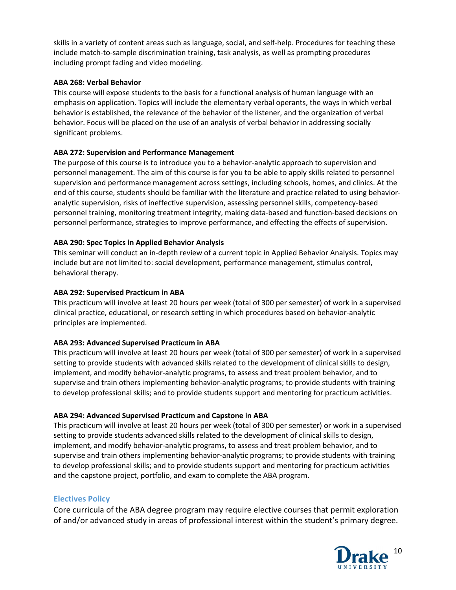skills in a variety of content areas such as language, social, and self-help. Procedures for teaching these include match-to-sample discrimination training, task analysis, as well as prompting procedures including prompt fading and video modeling.

#### ABA 268: Verbal Behavior

This course will expose students to the basis for a functional analysis of human language with an emphasis on application. Topics will include the elementary verbal operants, the ways in which verbal behavior is established, the relevance of the behavior of the listener, and the organization of verbal behavior. Focus will be placed on the use of an analysis of verbal behavior in addressing socially significant problems.

## ABA 272: Supervision and Performance Management

The purpose of this course is to introduce you to a behavior-analytic approach to supervision and personnel management. The aim of this course is for you to be able to apply skills related to personnel supervision and performance management across settings, including schools, homes, and clinics. At the end of this course, students should be familiar with the literature and practice related to using behavioranalytic supervision, risks of ineffective supervision, assessing personnel skills, competency-based personnel training, monitoring treatment integrity, making data-based and function-based decisions on personnel performance, strategies to improve performance, and effecting the effects of supervision.

## ABA 290: Spec Topics in Applied Behavior Analysis

This seminar will conduct an in-depth review of a current topic in Applied Behavior Analysis. Topics may include but are not limited to: social development, performance management, stimulus control, behavioral therapy.

## ABA 292: Supervised Practicum in ABA

This practicum will involve at least 20 hours per week (total of 300 per semester) of work in a supervised clinical practice, educational, or research setting in which procedures based on behavior-analytic principles are implemented.

#### ABA 293: Advanced Supervised Practicum in ABA

This practicum will involve at least 20 hours per week (total of 300 per semester) of work in a supervised setting to provide students with advanced skills related to the development of clinical skills to design, implement, and modify behavior-analytic programs, to assess and treat problem behavior, and to supervise and train others implementing behavior-analytic programs; to provide students with training to develop professional skills; and to provide students support and mentoring for practicum activities.

#### ABA 294: Advanced Supervised Practicum and Capstone in ABA

This practicum will involve at least 20 hours per week (total of 300 per semester) or work in a supervised setting to provide students advanced skills related to the development of clinical skills to design, implement, and modify behavior-analytic programs, to assess and treat problem behavior, and to supervise and train others implementing behavior-analytic programs; to provide students with training to develop professional skills; and to provide students support and mentoring for practicum activities and the capstone project, portfolio, and exam to complete the ABA program.

## Electives Policy

Core curricula of the ABA degree program may require elective courses that permit exploration of and/or advanced study in areas of professional interest within the student's primary degree.

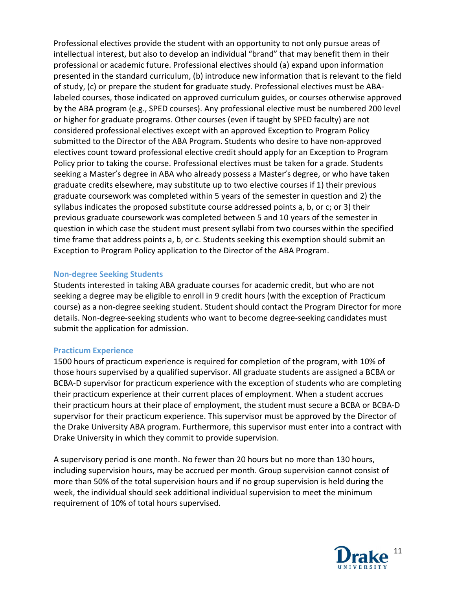Professional electives provide the student with an opportunity to not only pursue areas of intellectual interest, but also to develop an individual "brand" that may benefit them in their professional or academic future. Professional electives should (a) expand upon information presented in the standard curriculum, (b) introduce new information that is relevant to the field of study, (c) or prepare the student for graduate study. Professional electives must be ABAlabeled courses, those indicated on approved curriculum guides, or courses otherwise approved by the ABA program (e.g., SPED courses). Any professional elective must be numbered 200 level or higher for graduate programs. Other courses (even if taught by SPED faculty) are not considered professional electives except with an approved Exception to Program Policy submitted to the Director of the ABA Program. Students who desire to have non-approved electives count toward professional elective credit should apply for an Exception to Program Policy prior to taking the course. Professional electives must be taken for a grade. Students seeking a Master's degree in ABA who already possess a Master's degree, or who have taken graduate credits elsewhere, may substitute up to two elective courses if 1) their previous graduate coursework was completed within 5 years of the semester in question and 2) the syllabus indicates the proposed substitute course addressed points a, b, or c; or 3) their previous graduate coursework was completed between 5 and 10 years of the semester in question in which case the student must present syllabi from two courses within the specified time frame that address points a, b, or c. Students seeking this exemption should submit an Exception to Program Policy application to the Director of the ABA Program.

## Non-degree Seeking Students

Students interested in taking ABA graduate courses for academic credit, but who are not seeking a degree may be eligible to enroll in 9 credit hours (with the exception of Practicum course) as a non-degree seeking student. Student should contact the Program Director for more details. Non-degree-seeking students who want to become degree-seeking candidates must submit the application for admission.

#### Practicum Experience

1500 hours of practicum experience is required for completion of the program, with 10% of those hours supervised by a qualified supervisor. All graduate students are assigned a BCBA or BCBA-D supervisor for practicum experience with the exception of students who are completing their practicum experience at their current places of employment. When a student accrues their practicum hours at their place of employment, the student must secure a BCBA or BCBA-D supervisor for their practicum experience. This supervisor must be approved by the Director of the Drake University ABA program. Furthermore, this supervisor must enter into a contract with Drake University in which they commit to provide supervision.

A supervisory period is one month. No fewer than 20 hours but no more than 130 hours, including supervision hours, may be accrued per month. Group supervision cannot consist of more than 50% of the total supervision hours and if no group supervision is held during the week, the individual should seek additional individual supervision to meet the minimum requirement of 10% of total hours supervised.

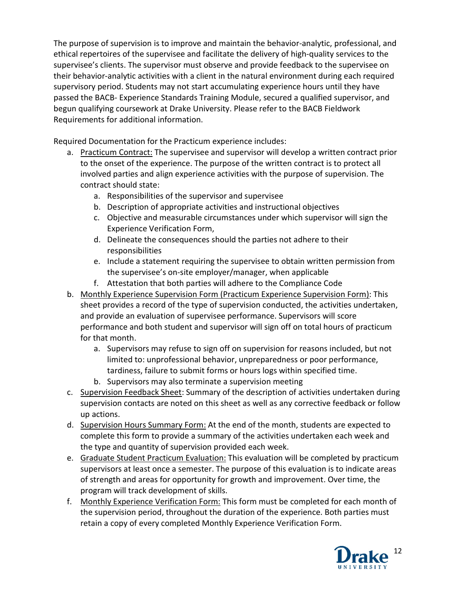The purpose of supervision is to improve and maintain the behavior-analytic, professional, and ethical repertoires of the supervisee and facilitate the delivery of high-quality services to the supervisee's clients. The supervisor must observe and provide feedback to the supervisee on their behavior-analytic activities with a client in the natural environment during each required supervisory period. Students may not start accumulating experience hours until they have passed the BACB- Experience Standards Training Module, secured a qualified supervisor, and begun qualifying coursework at Drake University. Please refer to the BACB Fieldwork Requirements for additional information.

Required Documentation for the Practicum experience includes:

- a. Practicum Contract: The supervisee and supervisor will develop a written contract prior to the onset of the experience. The purpose of the written contract is to protect all involved parties and align experience activities with the purpose of supervision. The contract should state:
	- a. Responsibilities of the supervisor and supervisee
	- b. Description of appropriate activities and instructional objectives
	- c. Objective and measurable circumstances under which supervisor will sign the Experience Verification Form,
	- d. Delineate the consequences should the parties not adhere to their responsibilities
	- e. Include a statement requiring the supervisee to obtain written permission from the supervisee's on-site employer/manager, when applicable
	- f. Attestation that both parties will adhere to the Compliance Code
- b. Monthly Experience Supervision Form (Practicum Experience Supervision Form): This sheet provides a record of the type of supervision conducted, the activities undertaken, and provide an evaluation of supervisee performance. Supervisors will score performance and both student and supervisor will sign off on total hours of practicum for that month.
	- a. Supervisors may refuse to sign off on supervision for reasons included, but not limited to: unprofessional behavior, unpreparedness or poor performance, tardiness, failure to submit forms or hours logs within specified time.
	- b. Supervisors may also terminate a supervision meeting
- c. Supervision Feedback Sheet: Summary of the description of activities undertaken during supervision contacts are noted on this sheet as well as any corrective feedback or follow up actions.
- d. Supervision Hours Summary Form: At the end of the month, students are expected to complete this form to provide a summary of the activities undertaken each week and the type and quantity of supervision provided each week.
- e. Graduate Student Practicum Evaluation: This evaluation will be completed by practicum supervisors at least once a semester. The purpose of this evaluation is to indicate areas of strength and areas for opportunity for growth and improvement. Over time, the program will track development of skills.
- f. Monthly Experience Verification Form: This form must be completed for each month of the supervision period, throughout the duration of the experience. Both parties must retain a copy of every completed Monthly Experience Verification Form.

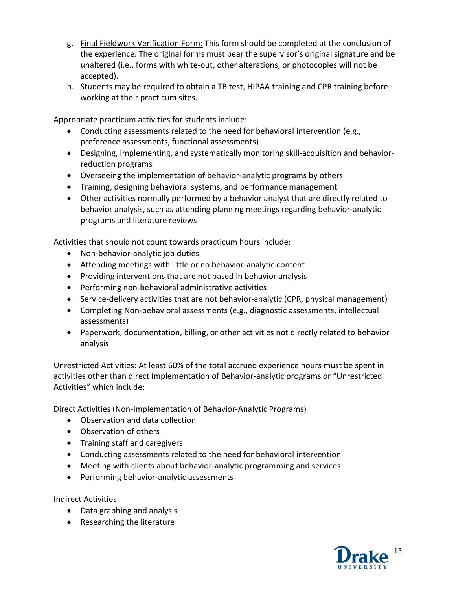- g. Final Fieldwork Verification Form: This form should be completed at the conclusion of the experience. The original forms must bear the supervisor's original signature and be unaltered (i.e., forms with white-out, other alterations, or photocopies will not be accepted).
- h. Students may be required to obtain a TB test, HIPAA training and CPR training before working at their practicum sites.

Appropriate practicum activities for students include:

- Conducting assessments related to the need for behavioral intervention (e.g., preference assessments, functional assessments)
- Designing, implementing, and systematically monitoring skill-acquisition and behaviorreduction programs
- Overseeing the implementation of behavior-analytic programs by others
- Training, designing behavioral systems, and performance management
- Other activities normally performed by a behavior analyst that are directly related to behavior analysis, such as attending planning meetings regarding behavior-analytic programs and literature reviews

Activities that should not count towards practicum hours include:

- Non-behavior-analytic job duties
- Attending meetings with little or no behavior-analytic content
- Providing interventions that are not based in behavior analysis
- Performing non-behavioral administrative activities
- Service-delivery activities that are not behavior-analytic (CPR, physical management)
- Completing Non-behavioral assessments (e.g., diagnostic assessments, intellectual assessments)
- Paperwork, documentation, billing, or other activities not directly related to behavior analysis

Unrestricted Activities: At least 60% of the total accrued experience hours must be spent in activities other than direct implementation of Behavior-analytic programs or "Unrestricted Activities" which include:

Direct Activities (Non-Implementation of Behavior-Analytic Programs)

- Observation and data collection
- Observation of others
- Training staff and caregivers
- Conducting assessments related to the need for behavioral intervention
- Meeting with clients about behavior-analytic programming and services
- Performing behavior-analytic assessments

Indirect Activities

- Data graphing and analysis
- Researching the literature

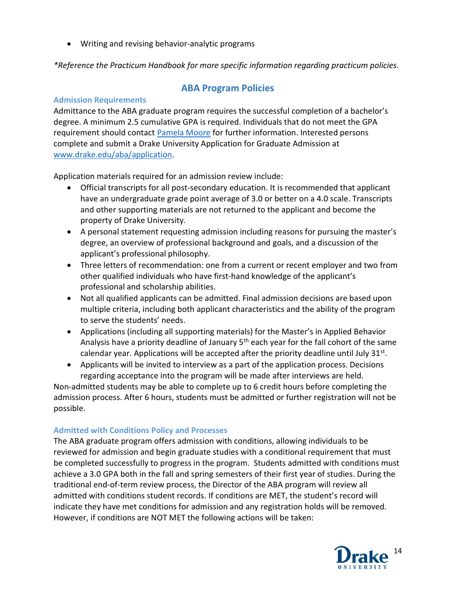Writing and revising behavior-analytic programs

\*Reference the Practicum Handbook for more specific information regarding practicum policies.

ABA Program Policies

# Admission Requirements

# Admittance to the ABA graduate program requires the successful completion of a bachelor's degree. A minimum 2.5 cumulative GPA is required. Individuals that do not meet the GPA requirement should contact Pamela Moore for further information. Interested persons complete and submit a Drake University Application for Graduate Admission at www.drake.edu/aba/application.

Application materials required for an admission review include:

- Official transcripts for all post-secondary education. It is recommended that applicant have an undergraduate grade point average of 3.0 or better on a 4.0 scale. Transcripts and other supporting materials are not returned to the applicant and become the property of Drake University.
- A personal statement requesting admission including reasons for pursuing the master's degree, an overview of professional background and goals, and a discussion of the applicant's professional philosophy.
- Three letters of recommendation: one from a current or recent employer and two from other qualified individuals who have first-hand knowledge of the applicant's professional and scholarship abilities.
- Not all qualified applicants can be admitted. Final admission decisions are based upon multiple criteria, including both applicant characteristics and the ability of the program to serve the students' needs.
- Applications (including all supporting materials) for the Master's in Applied Behavior Analysis have a priority deadline of January 5<sup>th</sup> each year for the fall cohort of the same calendar year. Applications will be accepted after the priority deadline until July 31<sup>st</sup>.
- Applicants will be invited to interview as a part of the application process. Decisions regarding acceptance into the program will be made after interviews are held.

Non-admitted students may be able to complete up to 6 credit hours before completing the admission process. After 6 hours, students must be admitted or further registration will not be possible.

# Admitted with Conditions Policy and Processes

The ABA graduate program offers admission with conditions, allowing individuals to be reviewed for admission and begin graduate studies with a conditional requirement that must be completed successfully to progress in the program. Students admitted with conditions must achieve a 3.0 GPA both in the fall and spring semesters of their first year of studies. During the traditional end-of-term review process, the Director of the ABA program will review all admitted with conditions student records. If conditions are MET, the student's record will indicate they have met conditions for admission and any registration holds will be removed. However, if conditions are NOT MET the following actions will be taken:

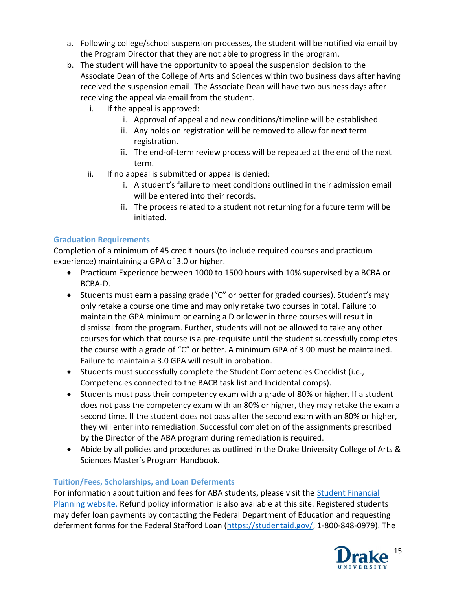- a. Following college/school suspension processes, the student will be notified via email by the Program Director that they are not able to progress in the program.
- b. The student will have the opportunity to appeal the suspension decision to the Associate Dean of the College of Arts and Sciences within two business days after having received the suspension email. The Associate Dean will have two business days after receiving the appeal via email from the student.
	- i. If the appeal is approved:
		- i. Approval of appeal and new conditions/timeline will be established.
		- ii. Any holds on registration will be removed to allow for next term registration.
		- iii. The end-of-term review process will be repeated at the end of the next term.
	- ii. If no appeal is submitted or appeal is denied:
		- i. A student's failure to meet conditions outlined in their admission email will be entered into their records.
		- ii. The process related to a student not returning for a future term will be initiated.

# Graduation Requirements

Completion of a minimum of 45 credit hours (to include required courses and practicum experience) maintaining a GPA of 3.0 or higher.

- Practicum Experience between 1000 to 1500 hours with 10% supervised by a BCBA or BCBA-D.
- Students must earn a passing grade ("C" or better for graded courses). Student's may only retake a course one time and may only retake two courses in total. Failure to maintain the GPA minimum or earning a D or lower in three courses will result in dismissal from the program. Further, students will not be allowed to take any other courses for which that course is a pre-requisite until the student successfully completes the course with a grade of "C" or better. A minimum GPA of 3.00 must be maintained. Failure to maintain a 3.0 GPA will result in probation.
- Students must successfully complete the Student Competencies Checklist (i.e., Competencies connected to the BACB task list and Incidental comps).
- Students must pass their competency exam with a grade of 80% or higher. If a student does not pass the competency exam with an 80% or higher, they may retake the exam a second time. If the student does not pass after the second exam with an 80% or higher, they will enter into remediation. Successful completion of the assignments prescribed by the Director of the ABA program during remediation is required.
- Abide by all policies and procedures as outlined in the Drake University College of Arts & Sciences Master's Program Handbook.

# Tuition/Fees, Scholarships, and Loan Deferments

For information about tuition and fees for ABA students, please visit the Student Financial Planning website. Refund policy information is also available at this site. Registered students may defer loan payments by contacting the Federal Department of Education and requesting deferment forms for the Federal Stafford Loan (https://studentaid.gov/, 1-800-848-0979). The

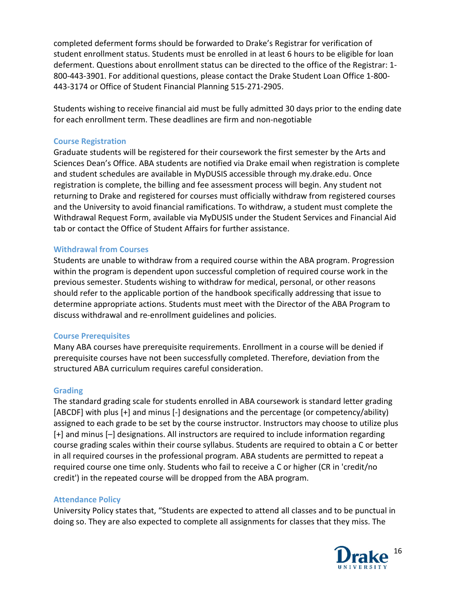completed deferment forms should be forwarded to Drake's Registrar for verification of student enrollment status. Students must be enrolled in at least 6 hours to be eligible for loan deferment. Questions about enrollment status can be directed to the office of the Registrar: 1- 800-443-3901. For additional questions, please contact the Drake Student Loan Office 1-800- 443-3174 or Office of Student Financial Planning 515-271-2905.

Students wishing to receive financial aid must be fully admitted 30 days prior to the ending date for each enrollment term. These deadlines are firm and non-negotiable

## Course Registration

Graduate students will be registered for their coursework the first semester by the Arts and Sciences Dean's Office. ABA students are notified via Drake email when registration is complete and student schedules are available in MyDUSIS accessible through my.drake.edu. Once registration is complete, the billing and fee assessment process will begin. Any student not returning to Drake and registered for courses must officially withdraw from registered courses and the University to avoid financial ramifications. To withdraw, a student must complete the Withdrawal Request Form, available via MyDUSIS under the Student Services and Financial Aid tab or contact the Office of Student Affairs for further assistance.

## Withdrawal from Courses

Students are unable to withdraw from a required course within the ABA program. Progression within the program is dependent upon successful completion of required course work in the previous semester. Students wishing to withdraw for medical, personal, or other reasons should refer to the applicable portion of the handbook specifically addressing that issue to determine appropriate actions. Students must meet with the Director of the ABA Program to discuss withdrawal and re-enrollment guidelines and policies.

## Course Prerequisites

Many ABA courses have prerequisite requirements. Enrollment in a course will be denied if prerequisite courses have not been successfully completed. Therefore, deviation from the structured ABA curriculum requires careful consideration.

## **Grading**

The standard grading scale for students enrolled in ABA coursework is standard letter grading [ABCDF] with plus [+] and minus [-] designations and the percentage (or competency/ability) assigned to each grade to be set by the course instructor. Instructors may choose to utilize plus [+] and minus [–] designations. All instructors are required to include information regarding course grading scales within their course syllabus. Students are required to obtain a C or better in all required courses in the professional program. ABA students are permitted to repeat a required course one time only. Students who fail to receive a C or higher (CR in 'credit/no credit') in the repeated course will be dropped from the ABA program.

## Attendance Policy

University Policy states that, "Students are expected to attend all classes and to be punctual in doing so. They are also expected to complete all assignments for classes that they miss. The

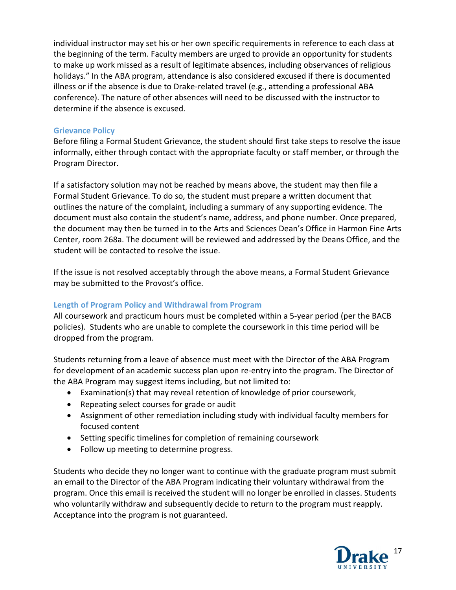individual instructor may set his or her own specific requirements in reference to each class at the beginning of the term. Faculty members are urged to provide an opportunity for students to make up work missed as a result of legitimate absences, including observances of religious holidays." In the ABA program, attendance is also considered excused if there is documented illness or if the absence is due to Drake-related travel (e.g., attending a professional ABA conference). The nature of other absences will need to be discussed with the instructor to determine if the absence is excused.

## Grievance Policy

Before filing a Formal Student Grievance, the student should first take steps to resolve the issue informally, either through contact with the appropriate faculty or staff member, or through the Program Director.

If a satisfactory solution may not be reached by means above, the student may then file a Formal Student Grievance. To do so, the student must prepare a written document that outlines the nature of the complaint, including a summary of any supporting evidence. The document must also contain the student's name, address, and phone number. Once prepared, the document may then be turned in to the Arts and Sciences Dean's Office in Harmon Fine Arts Center, room 268a. The document will be reviewed and addressed by the Deans Office, and the student will be contacted to resolve the issue.

If the issue is not resolved acceptably through the above means, a Formal Student Grievance may be submitted to the Provost's office.

## Length of Program Policy and Withdrawal from Program

All coursework and practicum hours must be completed within a 5-year period (per the BACB policies). Students who are unable to complete the coursework in this time period will be dropped from the program.

Students returning from a leave of absence must meet with the Director of the ABA Program for development of an academic success plan upon re-entry into the program. The Director of the ABA Program may suggest items including, but not limited to:

- Examination(s) that may reveal retention of knowledge of prior coursework,
- Repeating select courses for grade or audit
- Assignment of other remediation including study with individual faculty members for focused content
- Setting specific timelines for completion of remaining coursework
- Follow up meeting to determine progress.

Students who decide they no longer want to continue with the graduate program must submit an email to the Director of the ABA Program indicating their voluntary withdrawal from the program. Once this email is received the student will no longer be enrolled in classes. Students who voluntarily withdraw and subsequently decide to return to the program must reapply. Acceptance into the program is not guaranteed.

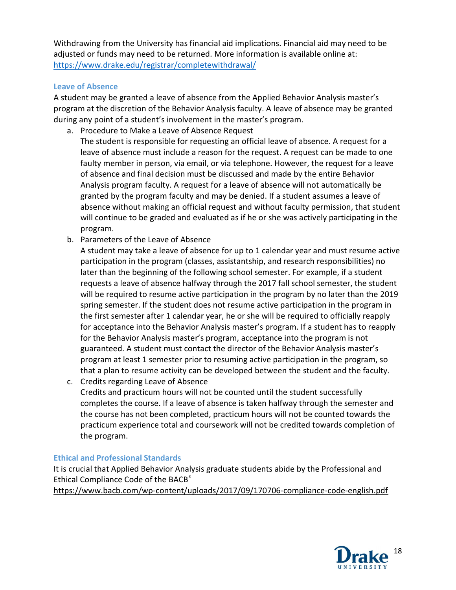Withdrawing from the University has financial aid implications. Financial aid may need to be adjusted or funds may need to be returned. More information is available online at: https://www.drake.edu/registrar/completewithdrawal/

## Leave of Absence

A student may be granted a leave of absence from the Applied Behavior Analysis master's program at the discretion of the Behavior Analysis faculty. A leave of absence may be granted during any point of a student's involvement in the master's program.

- a. Procedure to Make a Leave of Absence Request The student is responsible for requesting an official leave of absence. A request for a leave of absence must include a reason for the request. A request can be made to one faulty member in person, via email, or via telephone. However, the request for a leave of absence and final decision must be discussed and made by the entire Behavior Analysis program faculty. A request for a leave of absence will not automatically be granted by the program faculty and may be denied. If a student assumes a leave of absence without making an official request and without faculty permission, that student will continue to be graded and evaluated as if he or she was actively participating in the program.
- b. Parameters of the Leave of Absence

A student may take a leave of absence for up to 1 calendar year and must resume active participation in the program (classes, assistantship, and research responsibilities) no later than the beginning of the following school semester. For example, if a student requests a leave of absence halfway through the 2017 fall school semester, the student will be required to resume active participation in the program by no later than the 2019 spring semester. If the student does not resume active participation in the program in the first semester after 1 calendar year, he or she will be required to officially reapply for acceptance into the Behavior Analysis master's program. If a student has to reapply for the Behavior Analysis master's program, acceptance into the program is not guaranteed. A student must contact the director of the Behavior Analysis master's program at least 1 semester prior to resuming active participation in the program, so that a plan to resume activity can be developed between the student and the faculty.

c. Credits regarding Leave of Absence Credits and practicum hours will not be counted until the student successfully completes the course. If a leave of absence is taken halfway through the semester and the course has not been completed, practicum hours will not be counted towards the practicum experience total and coursework will not be credited towards completion of the program.

## Ethical and Professional Standards

It is crucial that Applied Behavior Analysis graduate students abide by the Professional and Ethical Compliance Code of the BACB® https://www.bacb.com/wp-content/uploads/2017/09/170706-compliance-code-english.pdf

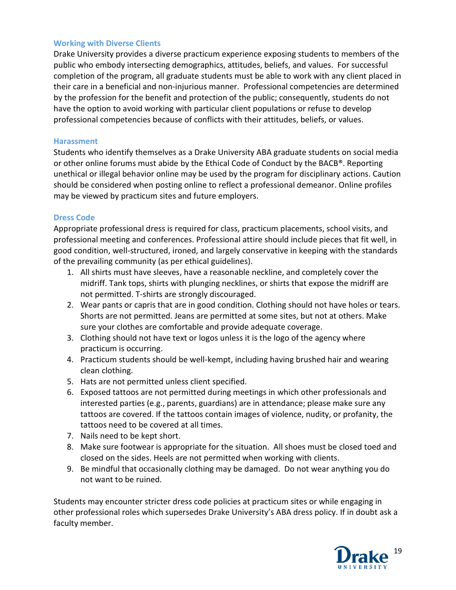## Working with Diverse Clients

Drake University provides a diverse practicum experience exposing students to members of the public who embody intersecting demographics, attitudes, beliefs, and values. For successful completion of the program, all graduate students must be able to work with any client placed in their care in a beneficial and non-injurious manner. Professional competencies are determined by the profession for the benefit and protection of the public; consequently, students do not have the option to avoid working with particular client populations or refuse to develop professional competencies because of conflicts with their attitudes, beliefs, or values.

#### Harassment

Students who identify themselves as a Drake University ABA graduate students on social media or other online forums must abide by the Ethical Code of Conduct by the BACB®. Reporting unethical or illegal behavior online may be used by the program for disciplinary actions. Caution should be considered when posting online to reflect a professional demeanor. Online profiles may be viewed by practicum sites and future employers.

#### Dress Code

Appropriate professional dress is required for class, practicum placements, school visits, and professional meeting and conferences. Professional attire should include pieces that fit well, in good condition, well-structured, ironed, and largely conservative in keeping with the standards of the prevailing community (as per ethical guidelines).

- 1. All shirts must have sleeves, have a reasonable neckline, and completely cover the midriff. Tank tops, shirts with plunging necklines, or shirts that expose the midriff are not permitted. T-shirts are strongly discouraged.
- 2. Wear pants or capris that are in good condition. Clothing should not have holes or tears. Shorts are not permitted. Jeans are permitted at some sites, but not at others. Make sure your clothes are comfortable and provide adequate coverage.
- 3. Clothing should not have text or logos unless it is the logo of the agency where practicum is occurring.
- 4. Practicum students should be well-kempt, including having brushed hair and wearing clean clothing.
- 5. Hats are not permitted unless client specified.
- 6. Exposed tattoos are not permitted during meetings in which other professionals and interested parties (e.g., parents, guardians) are in attendance; please make sure any tattoos are covered. If the tattoos contain images of violence, nudity, or profanity, the tattoos need to be covered at all times.
- 7. Nails need to be kept short.
- 8. Make sure footwear is appropriate for the situation. All shoes must be closed toed and closed on the sides. Heels are not permitted when working with clients.
- 9. Be mindful that occasionally clothing may be damaged. Do not wear anything you do not want to be ruined.

Students may encounter stricter dress code policies at practicum sites or while engaging in other professional roles which supersedes Drake University's ABA dress policy. If in doubt ask a faculty member.

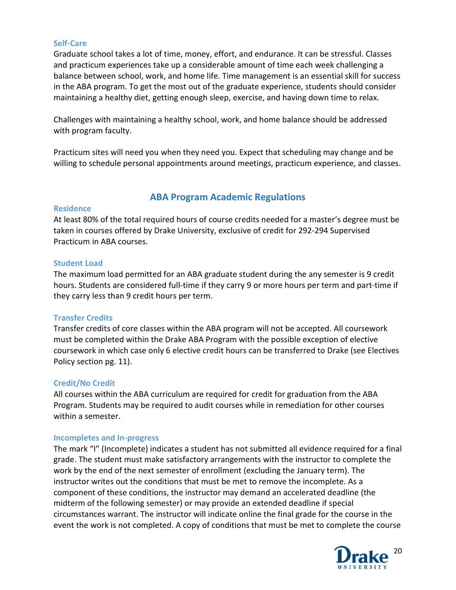#### Self-Care

Graduate school takes a lot of time, money, effort, and endurance. It can be stressful. Classes and practicum experiences take up a considerable amount of time each week challenging a balance between school, work, and home life. Time management is an essential skill for success in the ABA program. To get the most out of the graduate experience, students should consider maintaining a healthy diet, getting enough sleep, exercise, and having down time to relax.

Challenges with maintaining a healthy school, work, and home balance should be addressed with program faculty.

Practicum sites will need you when they need you. Expect that scheduling may change and be willing to schedule personal appointments around meetings, practicum experience, and classes.

## ABA Program Academic Regulations

## **Residence**

At least 80% of the total required hours of course credits needed for a master's degree must be taken in courses offered by Drake University, exclusive of credit for 292-294 Supervised Practicum in ABA courses.

## Student Load

The maximum load permitted for an ABA graduate student during the any semester is 9 credit hours. Students are considered full-time if they carry 9 or more hours per term and part-time if they carry less than 9 credit hours per term.

## Transfer Credits

Transfer credits of core classes within the ABA program will not be accepted. All coursework must be completed within the Drake ABA Program with the possible exception of elective coursework in which case only 6 elective credit hours can be transferred to Drake (see Electives Policy section pg. 11).

#### Credit/No Credit

All courses within the ABA curriculum are required for credit for graduation from the ABA Program. Students may be required to audit courses while in remediation for other courses within a semester.

#### Incompletes and In-progress

The mark "I" (Incomplete) indicates a student has not submitted all evidence required for a final grade. The student must make satisfactory arrangements with the instructor to complete the work by the end of the next semester of enrollment (excluding the January term). The instructor writes out the conditions that must be met to remove the incomplete. As a component of these conditions, the instructor may demand an accelerated deadline (the midterm of the following semester) or may provide an extended deadline if special circumstances warrant. The instructor will indicate online the final grade for the course in the event the work is not completed. A copy of conditions that must be met to complete the course

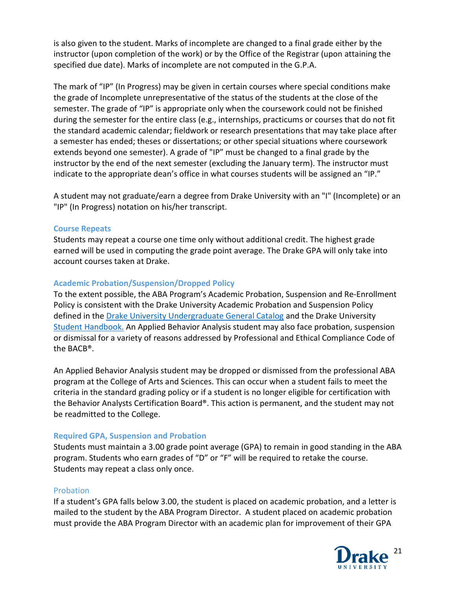is also given to the student. Marks of incomplete are changed to a final grade either by the instructor (upon completion of the work) or by the Office of the Registrar (upon attaining the specified due date). Marks of incomplete are not computed in the G.P.A.

The mark of "IP" (In Progress) may be given in certain courses where special conditions make the grade of Incomplete unrepresentative of the status of the students at the close of the semester. The grade of "IP" is appropriate only when the coursework could not be finished during the semester for the entire class (e.g., internships, practicums or courses that do not fit the standard academic calendar; fieldwork or research presentations that may take place after a semester has ended; theses or dissertations; or other special situations where coursework extends beyond one semester). A grade of "IP" must be changed to a final grade by the instructor by the end of the next semester (excluding the January term). The instructor must indicate to the appropriate dean's office in what courses students will be assigned an "IP."

A student may not graduate/earn a degree from Drake University with an "I" (Incomplete) or an "IP" (In Progress) notation on his/her transcript.

## Course Repeats

Students may repeat a course one time only without additional credit. The highest grade earned will be used in computing the grade point average. The Drake GPA will only take into account courses taken at Drake.

## Academic Probation/Suspension/Dropped Policy

To the extent possible, the ABA Program's Academic Probation, Suspension and Re-Enrollment Policy is consistent with the Drake University Academic Probation and Suspension Policy defined in the Drake University Undergraduate General Catalog and the Drake University Student Handbook. An Applied Behavior Analysis student may also face probation, suspension or dismissal for a variety of reasons addressed by Professional and Ethical Compliance Code of the BACB®.

An Applied Behavior Analysis student may be dropped or dismissed from the professional ABA program at the College of Arts and Sciences. This can occur when a student fails to meet the criteria in the standard grading policy or if a student is no longer eligible for certification with the Behavior Analysts Certification Board®. This action is permanent, and the student may not be readmitted to the College.

## Required GPA, Suspension and Probation

Students must maintain a 3.00 grade point average (GPA) to remain in good standing in the ABA program. Students who earn grades of "D" or "F" will be required to retake the course. Students may repeat a class only once.

## Probation

If a student's GPA falls below 3.00, the student is placed on academic probation, and a letter is mailed to the student by the ABA Program Director. A student placed on academic probation must provide the ABA Program Director with an academic plan for improvement of their GPA

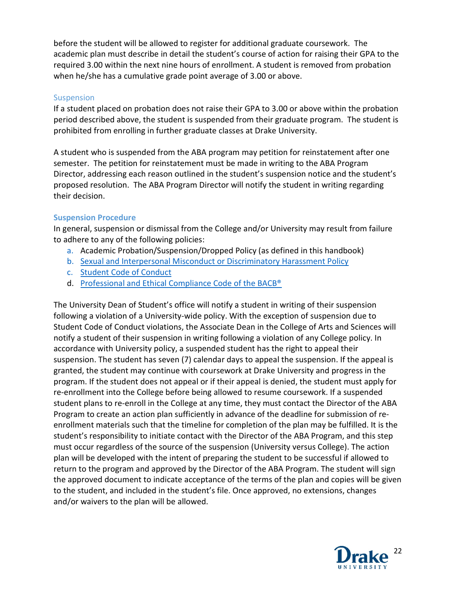before the student will be allowed to register for additional graduate coursework. The academic plan must describe in detail the student's course of action for raising their GPA to the required 3.00 within the next nine hours of enrollment. A student is removed from probation when he/she has a cumulative grade point average of 3.00 or above.

## Suspension

If a student placed on probation does not raise their GPA to 3.00 or above within the probation period described above, the student is suspended from their graduate program. The student is prohibited from enrolling in further graduate classes at Drake University.

A student who is suspended from the ABA program may petition for reinstatement after one semester. The petition for reinstatement must be made in writing to the ABA Program Director, addressing each reason outlined in the student's suspension notice and the student's proposed resolution. The ABA Program Director will notify the student in writing regarding their decision.

## Suspension Procedure

In general, suspension or dismissal from the College and/or University may result from failure to adhere to any of the following policies:

- a. Academic Probation/Suspension/Dropped Policy (as defined in this handbook)
- b. Sexual and Interpersonal Misconduct or Discriminatory Harassment Policy
- c. Student Code of Conduct
- d. Professional and Ethical Compliance Code of the BACB®

The University Dean of Student's office will notify a student in writing of their suspension following a violation of a University-wide policy. With the exception of suspension due to Student Code of Conduct violations, the Associate Dean in the College of Arts and Sciences will notify a student of their suspension in writing following a violation of any College policy. In accordance with University policy, a suspended student has the right to appeal their suspension. The student has seven (7) calendar days to appeal the suspension. If the appeal is granted, the student may continue with coursework at Drake University and progress in the program. If the student does not appeal or if their appeal is denied, the student must apply for re-enrollment into the College before being allowed to resume coursework. If a suspended student plans to re-enroll in the College at any time, they must contact the Director of the ABA Program to create an action plan sufficiently in advance of the deadline for submission of reenrollment materials such that the timeline for completion of the plan may be fulfilled. It is the student's responsibility to initiate contact with the Director of the ABA Program, and this step must occur regardless of the source of the suspension (University versus College). The action plan will be developed with the intent of preparing the student to be successful if allowed to return to the program and approved by the Director of the ABA Program. The student will sign the approved document to indicate acceptance of the terms of the plan and copies will be given to the student, and included in the student's file. Once approved, no extensions, changes and/or waivers to the plan will be allowed.

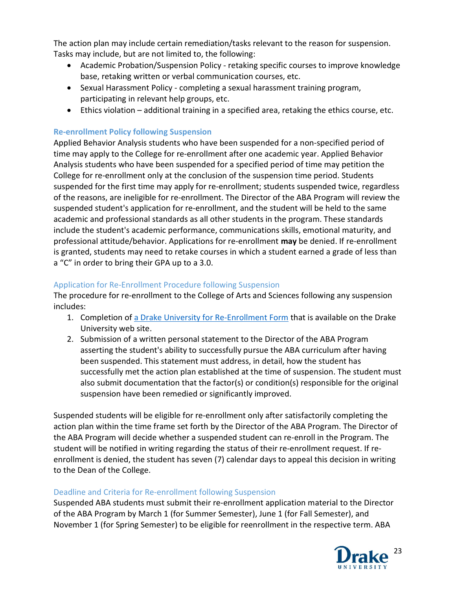The action plan may include certain remediation/tasks relevant to the reason for suspension. Tasks may include, but are not limited to, the following:

- Academic Probation/Suspension Policy retaking specific courses to improve knowledge base, retaking written or verbal communication courses, etc.
- Sexual Harassment Policy completing a sexual harassment training program, participating in relevant help groups, etc.
- Ethics violation additional training in a specified area, retaking the ethics course, etc.

# Re-enrollment Policy following Suspension

Applied Behavior Analysis students who have been suspended for a non-specified period of time may apply to the College for re-enrollment after one academic year. Applied Behavior Analysis students who have been suspended for a specified period of time may petition the College for re-enrollment only at the conclusion of the suspension time period. Students suspended for the first time may apply for re-enrollment; students suspended twice, regardless of the reasons, are ineligible for re-enrollment. The Director of the ABA Program will review the suspended student's application for re-enrollment, and the student will be held to the same academic and professional standards as all other students in the program. These standards include the student's academic performance, communications skills, emotional maturity, and professional attitude/behavior. Applications for re-enrollment may be denied. If re-enrollment is granted, students may need to retake courses in which a student earned a grade of less than a "C" in order to bring their GPA up to a 3.0.

# Application for Re-Enrollment Procedure following Suspension

The procedure for re-enrollment to the College of Arts and Sciences following any suspension includes:

- 1. Completion of a Drake University for Re-Enrollment Form that is available on the Drake University web site.
- 2. Submission of a written personal statement to the Director of the ABA Program asserting the student's ability to successfully pursue the ABA curriculum after having been suspended. This statement must address, in detail, how the student has successfully met the action plan established at the time of suspension. The student must also submit documentation that the factor(s) or condition(s) responsible for the original suspension have been remedied or significantly improved.

Suspended students will be eligible for re-enrollment only after satisfactorily completing the action plan within the time frame set forth by the Director of the ABA Program. The Director of the ABA Program will decide whether a suspended student can re-enroll in the Program. The student will be notified in writing regarding the status of their re-enrollment request. If reenrollment is denied, the student has seven (7) calendar days to appeal this decision in writing to the Dean of the College.

# Deadline and Criteria for Re-enrollment following Suspension

Suspended ABA students must submit their re-enrollment application material to the Director of the ABA Program by March 1 (for Summer Semester), June 1 (for Fall Semester), and November 1 (for Spring Semester) to be eligible for reenrollment in the respective term. ABA